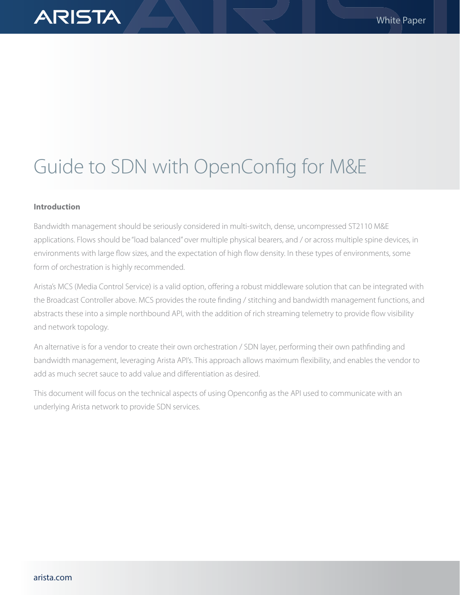# Guide to SDN with OpenConfig for M&E

# **Introduction**

**ARISTA** 

Bandwidth management should be seriously considered in multi-switch, dense, uncompressed ST2110 M&E applications. Flows should be "load balanced" over multiple physical bearers, and / or across multiple spine devices, in environments with large flow sizes, and the expectation of high flow density. In these types of environments, some form of orchestration is highly recommended.

Arista's MCS (Media Control Service) is a valid option, offering a robust middleware solution that can be integrated with the Broadcast Controller above. MCS provides the route finding / stitching and bandwidth management functions, and abstracts these into a simple northbound API, with the addition of rich streaming telemetry to provide flow visibility and network topology.

An alternative is for a vendor to create their own orchestration / SDN layer, performing their own pathfinding and bandwidth management, leveraging Arista API's. This approach allows maximum flexibility, and enables the vendor to add as much secret sauce to add value and differentiation as desired.

This document will focus on the technical aspects of using Openconfig as the API used to communicate with an underlying Arista network to provide SDN services.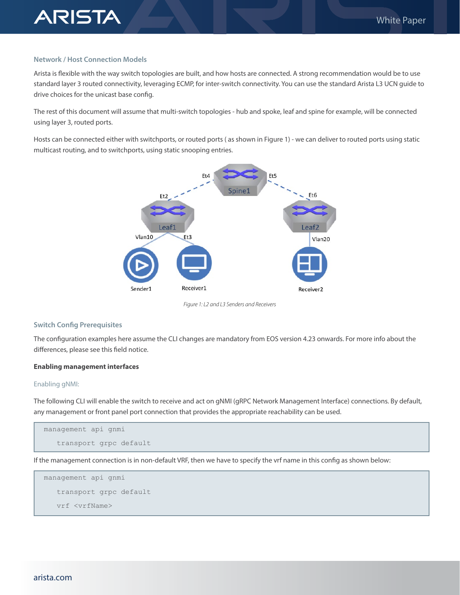### **Network / Host Connection Models**

**ARISTA** 

Arista is flexible with the way switch topologies are built, and how hosts are connected. A strong recommendation would be to use standard layer 3 routed connectivity, leveraging ECMP, for inter-switch connectivity. You can use the standard Arista L3 UCN guide to drive choices for the unicast base config.

The rest of this document will assume that multi-switch topologies - hub and spoke, leaf and spine for example, will be connected using layer 3, routed ports.

Hosts can be connected either with switchports, or routed ports ( as shown in Figure 1) - we can deliver to routed ports using static multicast routing, and to switchports, using static snooping entries.



*Figure 1: L2 and L3 Senders and Receivers*

## **Switch Config Prerequisites**

The configuration examples here assume the CLI changes are mandatory from EOS version 4.23 onwards. For more info about the differences, please see this field notice.

#### **Enabling management interfaces**

#### Enabling gNMI:

The following CLI will enable the switch to receive and act on gNMI (gRPC Network Management Interface) connections. By default, any management or front panel port connection that provides the appropriate reachability can be used.

```
management api gnmi
    transport grpc default
```
If the management connection is in non-default VRF, then we have to specify the vrf name in this config as shown below:

```
management api gnmi
    transport grpc default
    vrf <vrfName>
```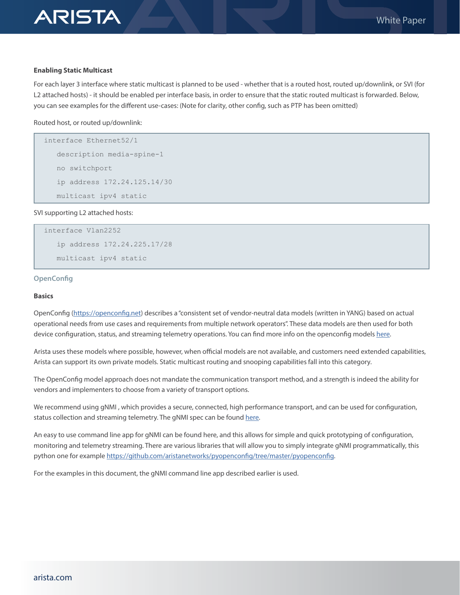

#### **Enabling Static Multicast**

**ARISTA** 

For each layer 3 interface where static multicast is planned to be used - whether that is a routed host, routed up/downlink, or SVI (for L2 attached hosts) - it should be enabled per interface basis, in order to ensure that the static routed multicast is forwarded. Below, you can see examples for the different use-cases: (Note for clarity, other config, such as PTP has been omitted)

Routed host, or routed up/downlink:

```
interface Ethernet52/1
    description media-spine-1
    no switchport
    ip address 172.24.125.14/30
    multicast ipv4 static
```
SVI supporting L2 attached hosts:

```
interface Vlan2252
    ip address 172.24.225.17/28
    multicast ipv4 static
```
#### **OpenConfig**

#### **Basics**

OpenConfig ([https://openconfig.net\)](https://openconfig.net) describes a "consistent set of vendor-neutral data models (written in YANG) based on actual operational needs from use cases and requirements from multiple network operators". These data models are then used for both device configuration, status, and streaming telemetry operations. You can find more info on the openconfig models [here.](https://openconfig.net/projects/models/)

Arista uses these models where possible, however, when official models are not available, and customers need extended capabilities, Arista can support its own private models. Static multicast routing and snooping capabilities fall into this category.

The OpenConfig model approach does not mandate the communication transport method, and a strength is indeed the ability for vendors and implementers to choose from a variety of transport options.

We recommend using gNMI , which provides a secure, connected, high performance transport, and can be used for configuration, status collection and streaming telemetry. The gNMI spec can be found [here.](https://tools.ietf.org/html/draft-openconfig-rtgwg-gnmi-spec-01)

An easy to use command line app for gNMI can be found here, and this allows for simple and quick prototyping of configuration, monitoring and telemetry streaming. There are various libraries that will allow you to simply integrate gNMI programmatically, this python one for example [https://github.com/aristanetworks/pyopenconfig/tree/master/pyopenconfig.](https://github.com/aristanetworks/pyopenconfig/tree/master/pyopenconfig)

For the examples in this document, the gNMI command line app described earlier is used.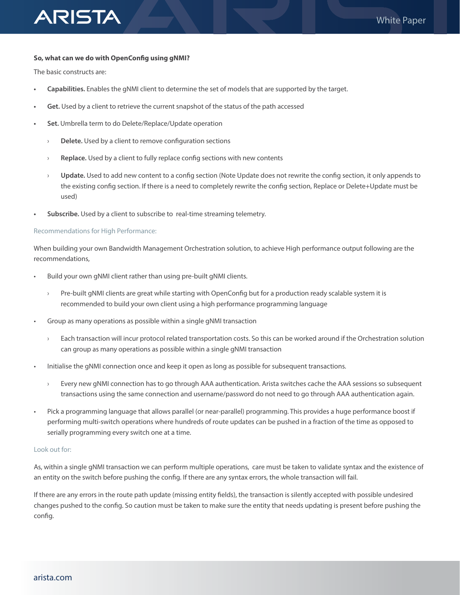# **So, what can we do with OpenConfig using gNMI?**

The basic constructs are:

**ARISTA** 

- **• Capabilities.** Enables the gNMI client to determine the set of models that are supported by the target.
- **• Get.** Used by a client to retrieve the current snapshot of the status of the path accessed
- **• Set.** Umbrella term to do Delete/Replace/Update operation
	- › **Delete.** Used by a client to remove configuration sections
	- › **Replace.** Used by a client to fully replace config sections with new contents
	- › **Update.** Used to add new content to a config section (Note Update does not rewrite the config section, it only appends to the existing config section. If there is a need to completely rewrite the config section, Replace or Delete+Update must be used)
- **• Subscribe.** Used by a client to subscribe to real-time streaming telemetry.

## Recommendations for High Performance:

When building your own Bandwidth Management Orchestration solution, to achieve High performance output following are the recommendations,

- Build your own gNMI client rather than using pre-built gNMI clients.
	- › Pre-built gNMI clients are great while starting with OpenConfig but for a production ready scalable system it is recommended to build your own client using a high performance programming language
- Group as many operations as possible within a single gNMI transaction
	- › Each transaction will incur protocol related transportation costs. So this can be worked around if the Orchestration solution can group as many operations as possible within a single gNMI transaction
- Initialise the gNMI connection once and keep it open as long as possible for subsequent transactions.
	- › Every new gNMI connection has to go through AAA authentication. Arista switches cache the AAA sessions so subsequent transactions using the same connection and username/password do not need to go through AAA authentication again.
- Pick a programming language that allows parallel (or near-parallel) programming. This provides a huge performance boost if performing multi-switch operations where hundreds of route updates can be pushed in a fraction of the time as opposed to serially programming every switch one at a time.

## Look out for:

As, within a single gNMI transaction we can perform multiple operations, care must be taken to validate syntax and the existence of an entity on the switch before pushing the config. If there are any syntax errors, the whole transaction will fail.

If there are any errors in the route path update (missing entity fields), the transaction is silently accepted with possible undesired changes pushed to the config. So caution must be taken to make sure the entity that needs updating is present before pushing the config.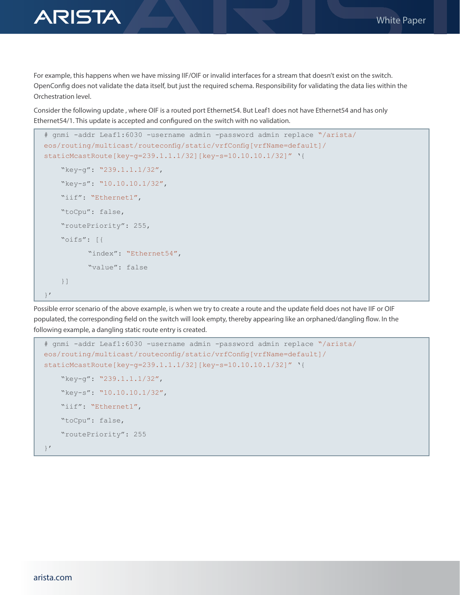

For example, this happens when we have missing IIF/OIF or invalid interfaces for a stream that doesn't exist on the switch. OpenConfig does not validate the data itself, but just the required schema. Responsibility for validating the data lies within the Orchestration level.

Consider the following update , where OIF is a routed port Ethernet54. But Leaf1 does not have Ethernet54 and has only Ethernet54/1. This update is accepted and configured on the switch with no validation.

```
# gnmi -addr Leaf1:6030 -username admin -password admin replace "/arista/
eos/routing/multicast/routeconfig/static/vrfConfig[vrfName=default]/
staticMcastRoute[key-g=239.1.1.1/32][key-s=10.10.10.1/32]" '{
    "key-g": "239.1.1.1/32",
    "key-s": "10.10.10.1/32",
    "iif": "Ethernet1",
    "toCpu": false,
    "routePriority": 255,
    "oifs": [{
           "index": "Ethernet54",
           "value": false
    }]
}'
```
Possible error scenario of the above example, is when we try to create a route and the update field does not have IIF or OIF populated, the corresponding field on the switch will look empty, thereby appearing like an orphaned/dangling flow. In the following example, a dangling static route entry is created.

```
# gnmi -addr Leaf1:6030 -username admin -password admin replace "/arista/
eos/routing/multicast/routeconfig/static/vrfConfig[vrfName=default]/
staticMcastRoute[key-g=239.1.1.1/32][key-s=10.10.10.1/32]" '{
    "key-g": "239.1.1.1/32",
    "key-s": "10.10.10.1/32",
   "iif": "Ethernet1",
    "toCpu": false,
    "routePriority": 255
}'
```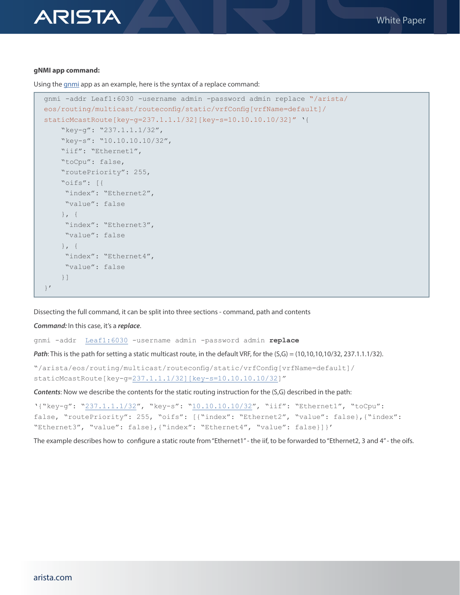#### **gNMI app command:**

**ARISTA** 

Using the [gnmi](https://github.com/openconfig/gnmi) app as an example, here is the syntax of a replace command:

```
gnmi -addr Leaf1:6030 -username admin -password admin replace "/arista/
eos/routing/multicast/routeconfig/static/vrfConfig[vrfName=default]/
staticMcastRoute[key-g=237.1.1.1/32][key-s=10.10.10.10/32]" '{
     "key-g": "237.1.1.1/32",
     "key-s": "10.10.10.10/32",
    "iif": "Ethernet1",
     "toCpu": false,
     "routePriority": 255,
     "oifs": [{
     "index": "Ethernet2",
     "value": false
     }, {
      "index": "Ethernet3",
      "value": false
     }, {
     "index": "Ethernet4",
      "value": false
     }]
}'
```
Dissecting the full command, it can be split into three sections - command, path and contents

*Command:* In this case, it's a *replace*.

gnmi -addr [Leaf1:6030](http://10.90.227.11:6030/) -username admin -password admin **replace**

*Path*: This is the path for setting a static multicast route, in the default VRF, for the (S,G) = (10,10,10,10/32, 237.1.1.1/32).

"/arista/eos/routing/multicast/routeconfig/static/vrfConfig[vrfName=default]/ staticMcastRoute[key-g[=237.1.1.1/32\]\[key-s=10.10.10.10/32\]](http://237.1.1.1/32%5D%5Bkey-s=10.10.10.10/32)"

*Contents*: Now we describe the contents for the static routing instruction for the (S,G) described in the path:

```
'{"key-g": "237.1.1.1/32", "key-s": "10.10.10.10/32", "iif": "Ethernet1", "toCpu": 
false, "routePriority": 255, "oifs": [{"index": "Ethernet2", "value": false},{"index": 
"Ethernet3", "value": false},{"index": "Ethernet4", "value": false}]}'
```
The example describes how to configure a static route from "Ethernet1" - the iif, to be forwarded to "Ethernet2, 3 and 4" - the oifs.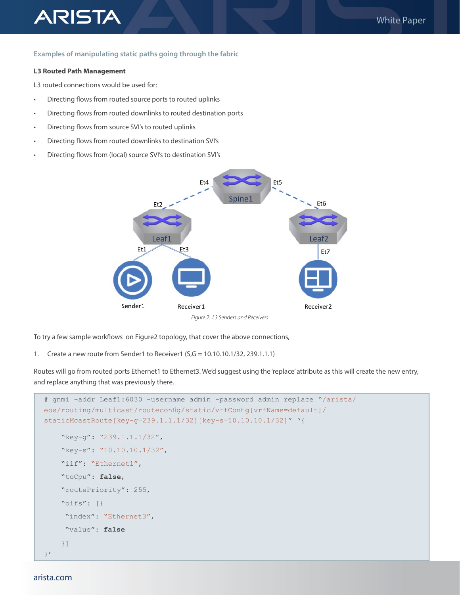## **Examples of manipulating static paths going through the fabric**

#### **L3 Routed Path Management**

**ARISTA** 

L3 routed connections would be used for:

- Directing flows from routed source ports to routed uplinks
- Directing flows from routed downlinks to routed destination ports
- Directing flows from source SVI's to routed uplinks
- Directing flows from routed downlinks to destination SVI's
- Directing flows from (local) source SVI's to destination SVI's



To try a few sample workflows on Figure2 topology, that cover the above connections,

1. Create a new route from Sender1 to Receiver1 (S,G = 10.10.10.1/32, 239.1.1.1)

Routes will go from routed ports Ethernet1 to Ethernet3. We'd suggest using the 'replace' attribute as this will create the new entry, and replace anything that was previously there.

```
# gnmi -addr Leaf1:6030 -username admin -password admin replace "/arista/
eos/routing/multicast/routeconfig/static/vrfConfig[vrfName=default]/
staticMcastRoute[key-g=239.1.1.1/32][key-s=10.10.10.1/32]" '{
     "key-g": "239.1.1.1/32",
     "key-s": "10.10.10.1/32",
    "iif": "Ethernet1",
     "toCpu": false,
     "routePriority": 255,
     "oifs": [{
      "index": "Ethernet3",
      "value": false
     }]
}'
```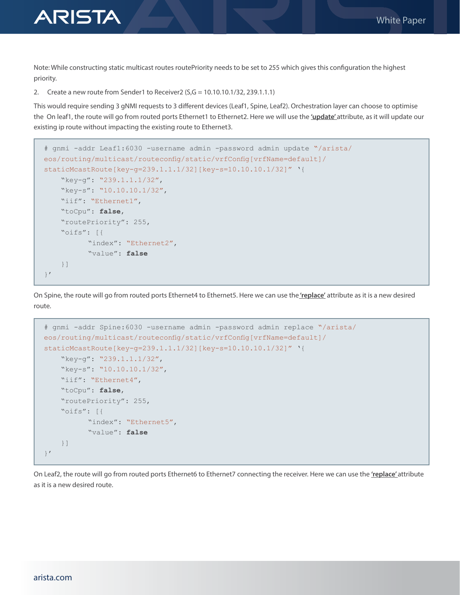

Note: While constructing static multicast routes routePriority needs to be set to 255 which gives this configuration the highest priority.

2. Create a new route from Sender1 to Receiver2  $(S, G = 10.10.10.1/32, 239.1.1.1)$ 

This would require sending 3 gNMI requests to 3 different devices (Leaf1, Spine, Leaf2). Orchestration layer can choose to optimise the On leaf1, the route will go from routed ports Ethernet1 to Ethernet2. Here we will use the **'update'** attribute, as it will update our existing ip route without impacting the existing route to Ethernet3.

```
# gnmi -addr Leaf1:6030 -username admin -password admin update "/arista/
eos/routing/multicast/routeconfig/static/vrfConfig[vrfName=default]/
staticMcastRoute[key-g=239.1.1.1/32][key-s=10.10.10.1/32]" '{
    "key-g": "239.1.1.1/32",
    "key-s": "10.10.10.1/32",
    "iif": "Ethernet1",
    "toCpu": false,
    "routePriority": 255,
    "oifs": [{
           "index": "Ethernet2",
           "value": false
    }]
}'
```
On Spine, the route will go from routed ports Ethernet4 to Ethernet5. Here we can use the **'replace'** attribute as it is a new desired route.

```
# gnmi -addr Spine:6030 -username admin -password admin replace "/arista/
eos/routing/multicast/routeconfig/static/vrfConfig[vrfName=default]/
staticMcastRoute[key-g=239.1.1.1/32][key-s=10.10.10.1/32]" '{
    "key-g": "239.1.1.1/32",
    "key-s": "10.10.10.1/32",
    "iif": "Ethernet4",
   "toCpu": false,
    "routePriority": 255,
    "oifs": [{
          "index": "Ethernet5",
           "value": false
    }]
}'
```
On Leaf2, the route will go from routed ports Ethernet6 to Ethernet7 connecting the receiver. Here we can use the **'replace'** attribute as it is a new desired route.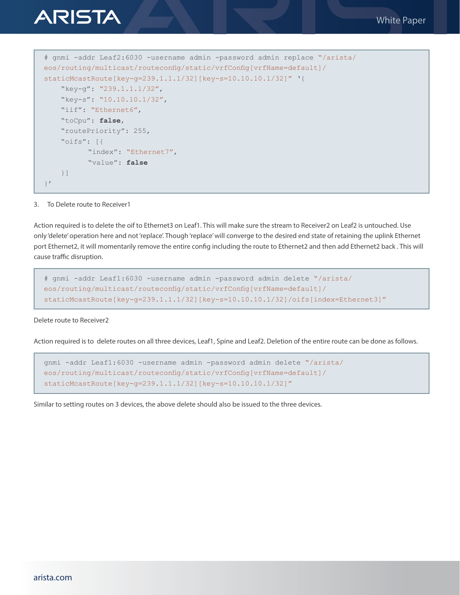

#### 3. To Delete route to Receiver1

}'

Action required is to delete the oif to Ethernet3 on Leaf1. This will make sure the stream to Receiver2 on Leaf2 is untouched. Use only 'delete' operation here and not 'replace'. Though 'replace' will converge to the desired end state of retaining the uplink Ethernet port Ethernet2, it will momentarily remove the entire config including the route to Ethernet2 and then add Ethernet2 back . This will cause traffic disruption.

```
# gnmi -addr Leaf1:6030 -username admin -password admin delete "/arista/
eos/routing/multicast/routeconfig/static/vrfConfig[vrfName=default]/
staticMcastRoute[key-g=239.1.1.1/32][key-s=10.10.10.1/32]/oifs[index=Ethernet3]"
```
## Delete route to Receiver2

Action required is to delete routes on all three devices, Leaf1, Spine and Leaf2. Deletion of the entire route can be done as follows.

```
gnmi -addr Leaf1:6030 -username admin -password admin delete "/arista/
eos/routing/multicast/routeconfig/static/vrfConfig[vrfName=default]/
staticMcastRoute[key-g=239.1.1.1/32][key-s=10.10.10.1/32]"
```
Similar to setting routes on 3 devices, the above delete should also be issued to the three devices.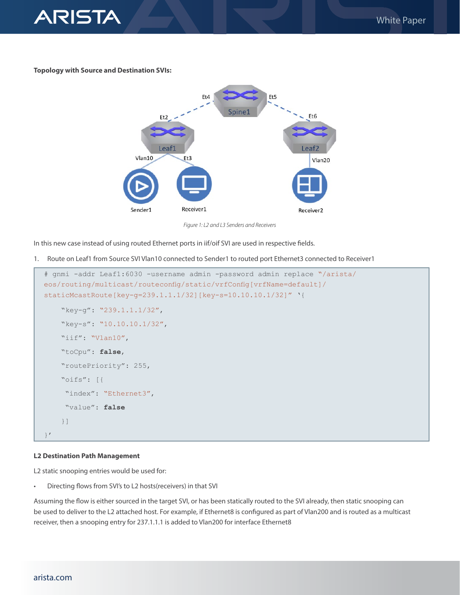

## **Topology with Source and Destination SVIs:**



*Figure 1: L2 and L3 Senders and Receivers*

In this new case instead of using routed Ethernet ports in iif/oif SVI are used in respective fields.

1. Route on Leaf1 from Source SVI Vlan10 connected to Sender1 to routed port Ethernet3 connected to Receiver1

```
# gnmi -addr Leaf1:6030 -username admin -password admin replace "/arista/
eos/routing/multicast/routeconfig/static/vrfConfig[vrfName=default]/
staticMcastRoute[key-g=239.1.1.1/32][key-s=10.10.10.1/32]" '{
     "key-g": "239.1.1.1/32",
     "key-s": "10.10.10.1/32",
     "iif": "Vlan10",
     "toCpu": false,
     "routePriority": 255,
     "oifs": [{
     "index": "Ethernet3",
      "value": false
     }]
}'
```
#### **L2 Destination Path Management**

L2 static snooping entries would be used for:

• Directing flows from SVI's to L2 hosts(receivers) in that SVI

Assuming the flow is either sourced in the target SVI, or has been statically routed to the SVI already, then static snooping can be used to deliver to the L2 attached host. For example, if Ethernet8 is configured as part of Vlan200 and is routed as a multicast receiver, then a snooping entry for 237.1.1.1 is added to Vlan200 for interface Ethernet8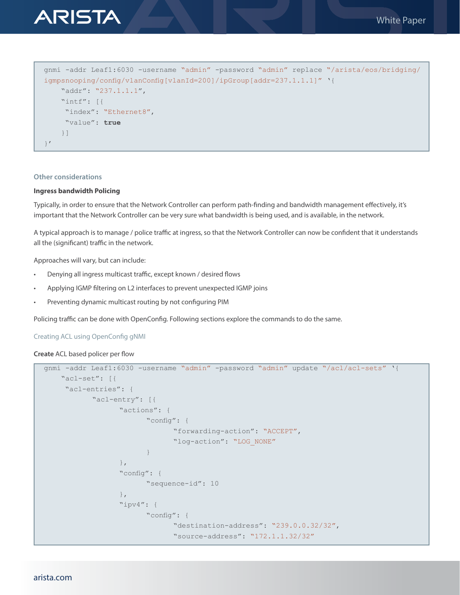

```
gnmi -addr Leaf1:6030 -username "admin" -password "admin" replace "/arista/eos/bridging/
igmpsnooping/config/vlanConfig[vlanId=200]/ipGroup[addr=237.1.1.1]" '{
     "addr": "237.1.1.1",
     "intf": [{
      "index": "Ethernet8",
      "value": true
     }]
}'
```
## **Other considerations**

## **Ingress bandwidth Policing**

Typically, in order to ensure that the Network Controller can perform path-finding and bandwidth management effectively, it's important that the Network Controller can be very sure what bandwidth is being used, and is available, in the network.

A typical approach is to manage / police traffic at ingress, so that the Network Controller can now be confident that it understands all the (significant) traffic in the network.

Approaches will vary, but can include:

- Denying all ingress multicast traffic, except known / desired flows
- Applying IGMP filtering on L2 interfaces to prevent unexpected IGMP joins
- Preventing dynamic multicast routing by not configuring PIM

Policing traffic can be done with OpenConfig. Following sections explore the commands to do the same.

Creating ACL using OpenConfig gNMI

**Create** ACL based policer per flow

```
gnmi -addr Leaf1:6030 -username "admin" -password "admin" update "/acl/acl-sets" '{
    "acl-set": [{
     "acl-entries": {
            "acl-entry": [{
                  "actions": {
                         "config": {
                               "forwarding-action": "ACCEPT",
                               "log-action": "LOG_NONE"
}<br>{}<br>{}
\{x_i\}_{i=1}^n "config": {
                         "sequence-id": 10
\{x_i\}_{i=1}^n "ipv4": {
                         "config": {
                               "destination-address": "239.0.0.32/32",
                               "source-address": "172.1.1.32/32"
```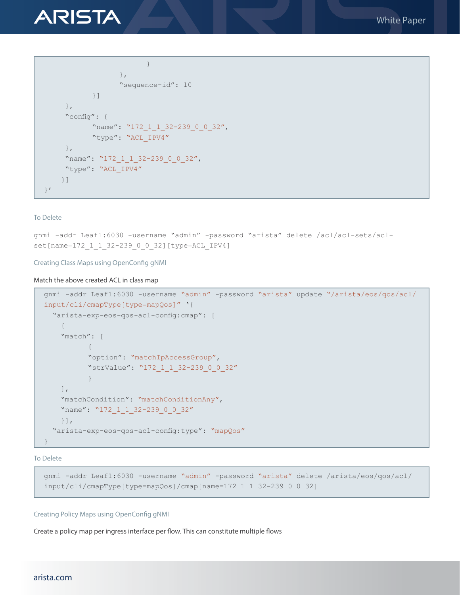

```
 }
\{x_i\}_{i=1}^n "sequence-id": 10
           }]
     },
     "config": {
          "name": "172 1 1 32-239 0 0 32",
           "type": "ACL_IPV4"
     },
    "name": "172 1 1 32-239 0 0 32",
     "type": "ACL_IPV4"
    }]
}'
```
#### To Delete

gnmi -addr Leaf1:6030 -username "admin" -password "arista" delete /acl/acl-sets/aclset[name=172\_1\_1\_32-239\_0\_0\_32][type=ACL\_IPV4]

## Creating Class Maps using OpenConfig gNMI

### Match the above created ACL in class map

```
gnmi -addr Leaf1:6030 -username "admin" -password "arista" update "/arista/eos/qos/acl/
input/cli/cmapType[type=mapQos]" '{
   "arista-exp-eos-qos-acl-config:cmap": [
    {
     "match": [
{f} "option": "matchIpAccessGroup",
           "strValue": "172_1_1_32-239_0_0_32"
 }
    \frac{1}{\sqrt{2}} "matchCondition": "matchConditionAny",
    "name": "172 1 1 32-239 0 0 32"
    }],
   "arista-exp-eos-qos-acl-config:type": "mapQos"
}
```
To Delete

```
gnmi -addr Leaf1:6030 -username "admin" -password "arista" delete /arista/eos/qos/acl/
input/cli/cmapType[type=mapQos]/cmap[name=172_1_1_32-239_0_0_32]
```
## Creating Policy Maps using OpenConfig gNMI

Create a policy map per ingress interface per flow. This can constitute multiple flows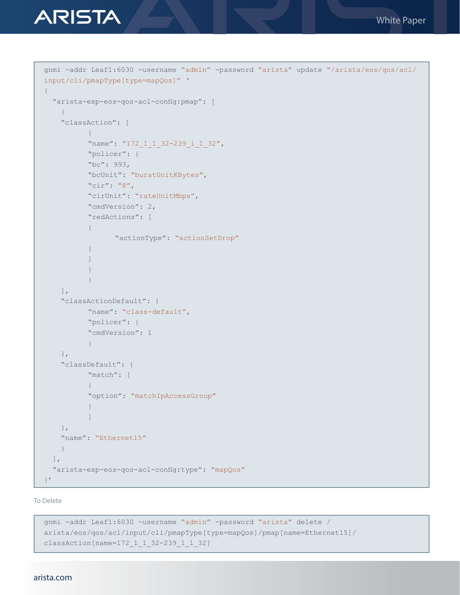

```
gnmi -addr Leaf1:6030 -username "admin" -password "arista" update "/arista/eos/qos/acl/
input/cli/pmapType[type=mapQos]" '
{
  "arista-exp-eos-qos-acl-config:pmap": [
   {
    "classAction": [
{f}"name": "172 1 1 32-239 1 1 32",
           "policer": {
          "bc": 993,
           "bcUnit": "burstUnitKBytes",
           "cir": "8",
          "cirUnit": "rateUnitMbps",
           "cmdVersion": 2,
           "redActions": [
{f} "actionType": "actionSetDrop"
 }
 ]
 }
 }
   \left| \ \right|,
    "classActionDefault": {
          "name": "class-default",
          "policer": {
          "cmdVersion": 1
 }
    },
    "classDefault": {
          "match": [
{f} "option": "matchIpAccessGroup"
 }
 ]
    },
    "name": "Ethernet15"
   }
 \frac{1}{\sqrt{2}} "arista-exp-eos-qos-acl-config:type": "mapQos"
}'
```
To Delete

```
gnmi -addr Leaf1:6030 -username "admin" -password "arista" delete /
arista/eos/qos/acl/input/cli/pmapType[type=mapQos]/pmap[name=Ethernet15]/
classAction[name=172_1_1_32-239_1_1_32]
```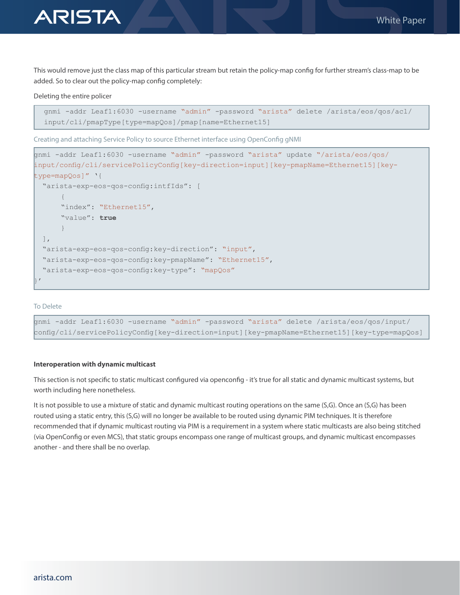

**ARISTA** 

This would remove just the class map of this particular stream but retain the policy-map config for further stream's class-map to be added. So to clear out the policy-map config completely:

## Deleting the entire policer

```
gnmi -addr Leaf1:6030 -username "admin" -password "arista" delete /arista/eos/qos/acl/
input/cli/pmapType[type=mapQos]/pmap[name=Ethernet15]
```
Creating and attaching Service Policy to source Ethernet interface using OpenConfig gNMI

```
gnmi -addr Leaf1:6030 -username "admin" -password "arista" update "/arista/eos/qos/
input/config/cli/servicePolicyConfig[key-direction=input][key-pmapName=Ethernet15][key-
type=mapQos]" '{
   "arista-exp-eos-qos-config:intfIds": [
      {
      "index": "Ethernet15",
       "value": true
      }
 \left| \ \right|,
   "arista-exp-eos-qos-config:key-direction": "input",
   "arista-exp-eos-qos-config:key-pmapName": "Ethernet15",
   "arista-exp-eos-qos-config:key-type": "mapQos"
\vert '
```
## To Delete

gnmi -addr Leaf1:6030 -username "admin" -password "arista" delete /arista/eos/qos/input/ config/cli/servicePolicyConfig[key-direction=input][key-pmapName=Ethernet15][key-type=mapQos]

## **Interoperation with dynamic multicast**

This section is not specific to static multicast configured via openconfig - it's true for all static and dynamic multicast systems, but worth including here nonetheless.

It is not possible to use a mixture of static and dynamic multicast routing operations on the same (S,G). Once an (S,G) has been routed using a static entry, this (S,G) will no longer be available to be routed using dynamic PIM techniques. It is therefore recommended that if dynamic multicast routing via PIM is a requirement in a system where static multicasts are also being stitched (via OpenConfig or even MCS), that static groups encompass one range of multicast groups, and dynamic multicast encompasses another - and there shall be no overlap.